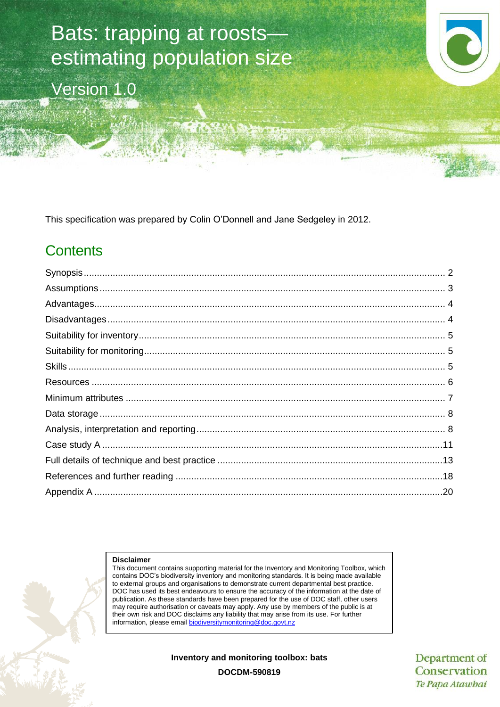# Bats: trapping at roosts estimating population size Version 1.0

This specification was prepared by Colin O'Donnell and Jane Sedgeley in 2012.

## **Contents**

#### **Disclaimer**

This document contains supporting material for the Inventory and Monitoring Toolbox, which contains DOC's biodiversity inventory and monitoring standards. It is being made available to external groups and organisations to demonstrate current departmental best practice. DOC has used its best endeavours to ensure the accuracy of the information at the date of publication. As these standards have been prepared for the use of DOC staff, other users may require authorisation or caveats may apply. Any use by members of the public is at their own risk and DOC disclaims any liability that may arise from its use. For further information, please email [biodiversitymonitoring@doc.govt.nz](mailto:biodiversitymonitoring@doc.govt.nz)

**Inventory and monitoring toolbox: bats**

Department of Conservation Te Papa Atawhai

**DOCDM-590819**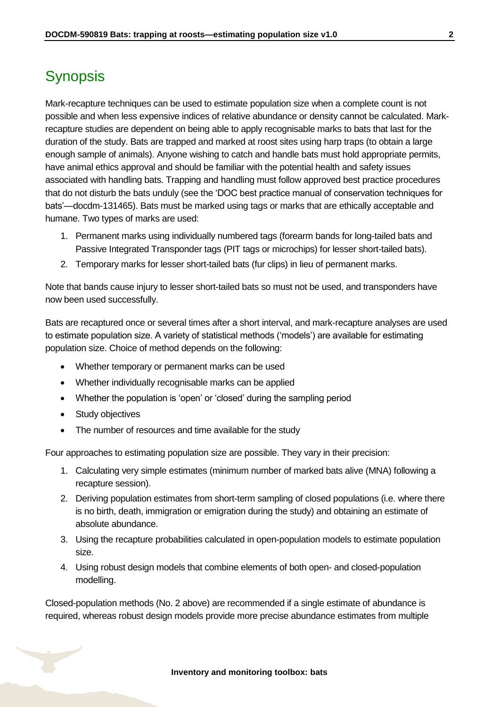### <span id="page-1-0"></span>**Synopsis**

Mark-recapture techniques can be used to estimate population size when a complete count is not possible and when less expensive indices of relative abundance or density cannot be calculated. Markrecapture studies are dependent on being able to apply recognisable marks to bats that last for the duration of the study. Bats are trapped and marked at roost sites using harp traps (to obtain a large enough sample of animals). Anyone wishing to catch and handle bats must hold appropriate permits, have animal ethics approval and should be familiar with the potential health and safety issues associated with handling bats. Trapping and handling must follow approved best practice procedures that do not disturb the bats unduly (see the 'DOC best practice manual of conservation techniques for bats'—docdm-131465). Bats must be marked using tags or marks that are ethically acceptable and humane. Two types of marks are used:

- 1. Permanent marks using individually numbered tags (forearm bands for long-tailed bats and Passive Integrated Transponder tags (PIT tags or microchips) for lesser short-tailed bats).
- 2. Temporary marks for lesser short-tailed bats (fur clips) in lieu of permanent marks.

Note that bands cause injury to lesser short-tailed bats so must not be used, and transponders have now been used successfully.

Bats are recaptured once or several times after a short interval, and mark-recapture analyses are used to estimate population size. A variety of statistical methods ('models') are available for estimating population size. Choice of method depends on the following:

- Whether temporary or permanent marks can be used
- Whether individually recognisable marks can be applied
- Whether the population is 'open' or 'closed' during the sampling period
- Study objectives
- The number of resources and time available for the study

Four approaches to estimating population size are possible. They vary in their precision:

- 1. Calculating very simple estimates (minimum number of marked bats alive (MNA) following a recapture session).
- 2. Deriving population estimates from short-term sampling of closed populations (i.e. where there is no birth, death, immigration or emigration during the study) and obtaining an estimate of absolute abundance.
- 3. Using the recapture probabilities calculated in open-population models to estimate population size.
- 4. Using robust design models that combine elements of both open- and closed-population modelling.

Closed-population methods (No. 2 above) are recommended if a single estimate of abundance is required, whereas robust design models provide more precise abundance estimates from multiple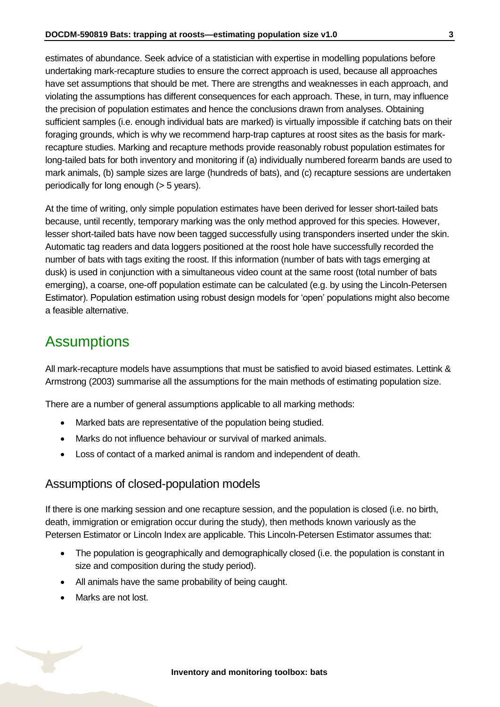estimates of abundance. Seek advice of a statistician with expertise in modelling populations before undertaking mark-recapture studies to ensure the correct approach is used, because all approaches have set assumptions that should be met. There are strengths and weaknesses in each approach, and violating the assumptions has different consequences for each approach. These, in turn, may influence the precision of population estimates and hence the conclusions drawn from analyses. Obtaining sufficient samples (i.e. enough individual bats are marked) is virtually impossible if catching bats on their foraging grounds, which is why we recommend harp-trap captures at roost sites as the basis for markrecapture studies. Marking and recapture methods provide reasonably robust population estimates for long-tailed bats for both inventory and monitoring if (a) individually numbered forearm bands are used to mark animals, (b) sample sizes are large (hundreds of bats), and (c) recapture sessions are undertaken periodically for long enough (> 5 years).

At the time of writing, only simple population estimates have been derived for lesser short-tailed bats because, until recently, temporary marking was the only method approved for this species. However, lesser short-tailed bats have now been tagged successfully using transponders inserted under the skin. Automatic tag readers and data loggers positioned at the roost hole have successfully recorded the number of bats with tags exiting the roost. If this information (number of bats with tags emerging at dusk) is used in conjunction with a simultaneous video count at the same roost (total number of bats emerging), a coarse, one-off population estimate can be calculated (e.g. by using the Lincoln-Petersen Estimator). Population estimation using robust design models for 'open' populations might also become a feasible alternative.

### <span id="page-2-0"></span>**Assumptions**

All mark-recapture models have assumptions that must be satisfied to avoid biased estimates. Lettink & Armstrong (2003) summarise all the assumptions for the main methods of estimating population size.

There are a number of general assumptions applicable to all marking methods:

- Marked bats are representative of the population being studied.
- Marks do not influence behaviour or survival of marked animals.
- Loss of contact of a marked animal is random and independent of death.

#### Assumptions of closed-population models

If there is one marking session and one recapture session, and the population is closed (i.e. no birth, death, immigration or emigration occur during the study), then methods known variously as the Petersen Estimator or Lincoln Index are applicable. This Lincoln-Petersen Estimator assumes that:

- The population is geographically and demographically closed (i.e. the population is constant in size and composition during the study period).
- All animals have the same probability of being caught.
- Marks are not lost.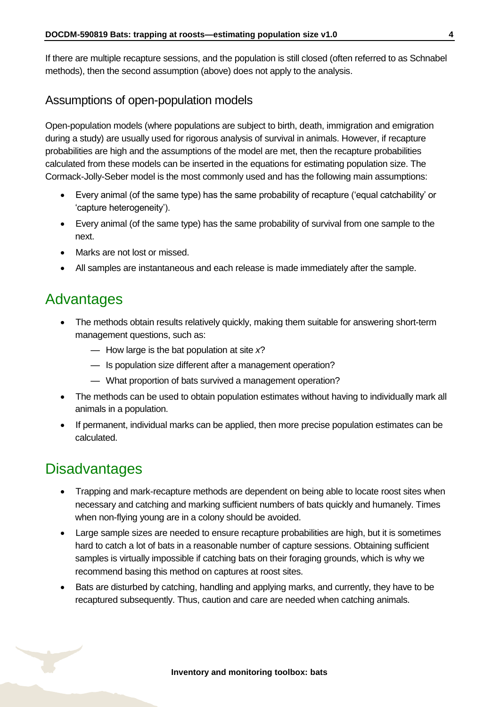If there are multiple recapture sessions, and the population is still closed (often referred to as Schnabel methods), then the second assumption (above) does not apply to the analysis.

#### Assumptions of open-population models

Open-population models (where populations are subject to birth, death, immigration and emigration during a study) are usually used for rigorous analysis of survival in animals. However, if recapture probabilities are high and the assumptions of the model are met, then the recapture probabilities calculated from these models can be inserted in the equations for estimating population size. The Cormack-Jolly-Seber model is the most commonly used and has the following main assumptions:

- Every animal (of the same type) has the same probability of recapture ('equal catchability' or 'capture heterogeneity').
- Every animal (of the same type) has the same probability of survival from one sample to the next.
- Marks are not lost or missed.
- All samples are instantaneous and each release is made immediately after the sample.

### <span id="page-3-0"></span>Advantages

- The methods obtain results relatively quickly, making them suitable for answering short-term management questions, such as:
	- How large is the bat population at site *x*?
	- Is population size different after a management operation?
	- What proportion of bats survived a management operation?
- The methods can be used to obtain population estimates without having to individually mark all animals in a population.
- If permanent, individual marks can be applied, then more precise population estimates can be calculated.

### <span id="page-3-1"></span>**Disadvantages**

- Trapping and mark-recapture methods are dependent on being able to locate roost sites when necessary and catching and marking sufficient numbers of bats quickly and humanely. Times when non-flying young are in a colony should be avoided.
- Large sample sizes are needed to ensure recapture probabilities are high, but it is sometimes hard to catch a lot of bats in a reasonable number of capture sessions. Obtaining sufficient samples is virtually impossible if catching bats on their foraging grounds, which is why we recommend basing this method on captures at roost sites.
- Bats are disturbed by catching, handling and applying marks, and currently, they have to be recaptured subsequently. Thus, caution and care are needed when catching animals.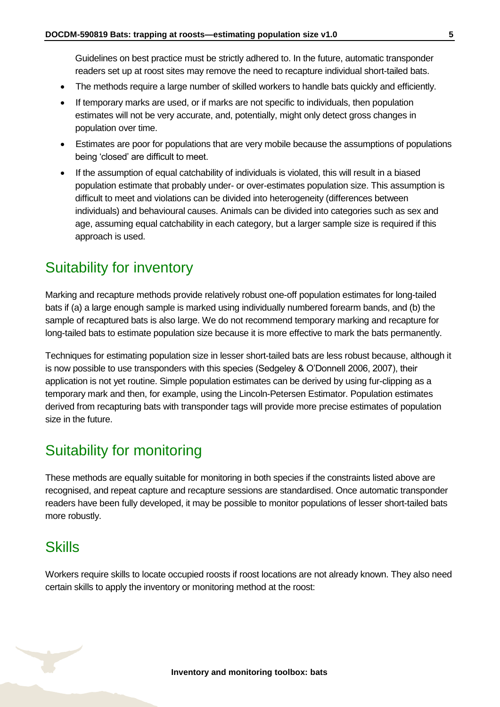Guidelines on best practice must be strictly adhered to. In the future, automatic transponder readers set up at roost sites may remove the need to recapture individual short-tailed bats.

- The methods require a large number of skilled workers to handle bats quickly and efficiently.
- If temporary marks are used, or if marks are not specific to individuals, then population estimates will not be very accurate, and, potentially, might only detect gross changes in population over time.
- Estimates are poor for populations that are very mobile because the assumptions of populations being 'closed' are difficult to meet.
- If the assumption of equal catchability of individuals is violated, this will result in a biased population estimate that probably under- or over-estimates population size. This assumption is difficult to meet and violations can be divided into heterogeneity (differences between individuals) and behavioural causes. Animals can be divided into categories such as sex and age, assuming equal catchability in each category, but a larger sample size is required if this approach is used.

### <span id="page-4-0"></span>Suitability for inventory

Marking and recapture methods provide relatively robust one-off population estimates for long-tailed bats if (a) a large enough sample is marked using individually numbered forearm bands, and (b) the sample of recaptured bats is also large. We do not recommend temporary marking and recapture for long-tailed bats to estimate population size because it is more effective to mark the bats permanently.

Techniques for estimating population size in lesser short-tailed bats are less robust because, although it is now possible to use transponders with this species (Sedgeley & O'Donnell 2006, 2007), their application is not yet routine. Simple population estimates can be derived by using fur-clipping as a temporary mark and then, for example, using the Lincoln-Petersen Estimator. Population estimates derived from recapturing bats with transponder tags will provide more precise estimates of population size in the future.

### <span id="page-4-1"></span>Suitability for monitoring

These methods are equally suitable for monitoring in both species if the constraints listed above are recognised, and repeat capture and recapture sessions are standardised. Once automatic transponder readers have been fully developed, it may be possible to monitor populations of lesser short-tailed bats more robustly.

### <span id="page-4-2"></span>**Skills**

Workers require skills to locate occupied roosts if roost locations are not already known. They also need certain skills to apply the inventory or monitoring method at the roost: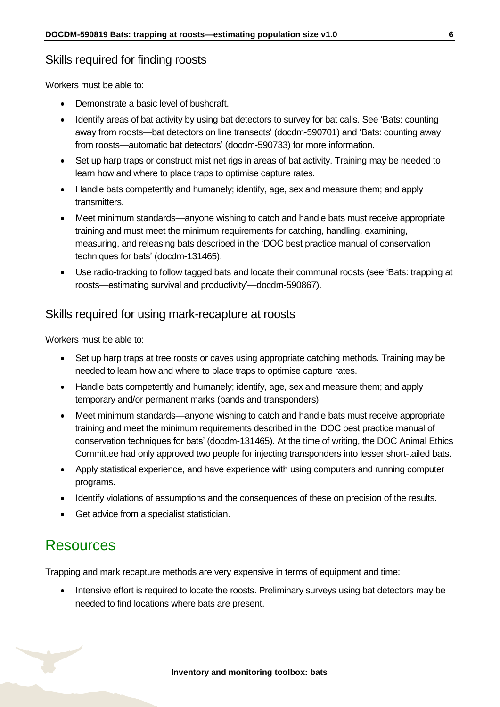#### Skills required for finding roosts

Workers must be able to:

- Demonstrate a basic level of bushcraft.
- Identify areas of bat activity by using bat detectors to survey for bat calls. See 'Bats: counting away from roosts—bat detectors on line transects' (docdm-590701) and 'Bats: counting away from roosts—automatic bat detectors' (docdm-590733) for more information.
- Set up harp traps or construct mist net rigs in areas of bat activity. Training may be needed to learn how and where to place traps to optimise capture rates.
- Handle bats competently and humanely; identify, age, sex and measure them; and apply transmitters.
- Meet minimum standards—anyone wishing to catch and handle bats must receive appropriate training and must meet the minimum requirements for catching, handling, examining, measuring, and releasing bats described in the 'DOC best practice manual of conservation techniques for bats' (docdm-131465).
- Use radio-tracking to follow tagged bats and locate their communal roosts (see 'Bats: trapping at roosts—estimating survival and productivity'—docdm-590867).

#### Skills required for using mark-recapture at roosts

Workers must be able to:

- Set up harp traps at tree roosts or caves using appropriate catching methods. Training may be needed to learn how and where to place traps to optimise capture rates.
- Handle bats competently and humanely; identify, age, sex and measure them; and apply temporary and/or permanent marks (bands and transponders).
- Meet minimum standards—anyone wishing to catch and handle bats must receive appropriate training and meet the minimum requirements described in the 'DOC best practice manual of conservation techniques for bats' (docdm-131465). At the time of writing, the DOC Animal Ethics Committee had only approved two people for injecting transponders into lesser short-tailed bats.
- Apply statistical experience, and have experience with using computers and running computer programs.
- Identify violations of assumptions and the consequences of these on precision of the results.
- Get advice from a specialist statistician.

### <span id="page-5-0"></span>Resources

Trapping and mark recapture methods are very expensive in terms of equipment and time:

• Intensive effort is required to locate the roosts. Preliminary surveys using bat detectors may be needed to find locations where bats are present.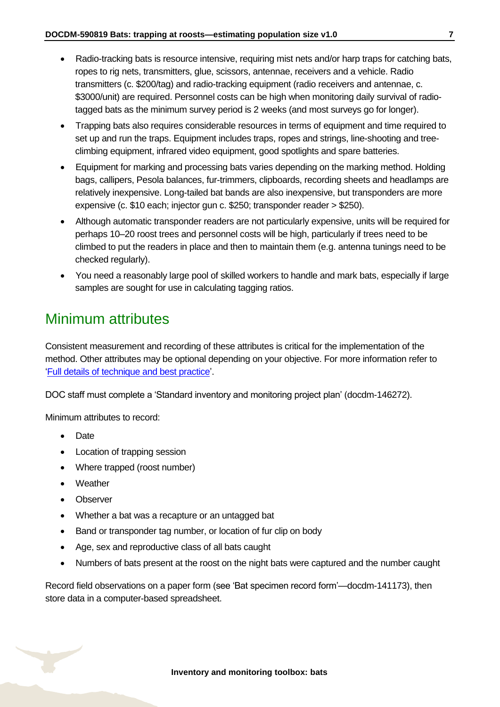- Radio-tracking bats is resource intensive, requiring mist nets and/or harp traps for catching bats, ropes to rig nets, transmitters, glue, scissors, antennae, receivers and a vehicle. Radio transmitters (c. \$200/tag) and radio-tracking equipment (radio receivers and antennae, c. \$3000/unit) are required. Personnel costs can be high when monitoring daily survival of radiotagged bats as the minimum survey period is 2 weeks (and most surveys go for longer).
- Trapping bats also requires considerable resources in terms of equipment and time required to set up and run the traps. Equipment includes traps, ropes and strings, line-shooting and treeclimbing equipment, infrared video equipment, good spotlights and spare batteries.
- Equipment for marking and processing bats varies depending on the marking method. Holding bags, callipers, Pesola balances, fur-trimmers, clipboards, recording sheets and headlamps are relatively inexpensive. Long-tailed bat bands are also inexpensive, but transponders are more expensive (c. \$10 each; injector gun c. \$250; transponder reader > \$250).
- Although automatic transponder readers are not particularly expensive, units will be required for perhaps 10–20 roost trees and personnel costs will be high, particularly if trees need to be climbed to put the readers in place and then to maintain them (e.g. antenna tunings need to be checked regularly).
- You need a reasonably large pool of skilled workers to handle and mark bats, especially if large samples are sought for use in calculating tagging ratios.

### <span id="page-6-0"></span>Minimum attributes

Consistent measurement and recording of these attributes is critical for the implementation of the method. Other attributes may be optional depending on your objective. For more information refer to ['Full details of technique and best practice'](#page-12-0).

DOC staff must complete a 'Standard inventory and monitoring project plan' (docdm-146272).

Minimum attributes to record:

- Date
- Location of trapping session
- Where trapped (roost number)
- Weather
- Observer
- Whether a bat was a recapture or an untagged bat
- Band or transponder tag number, or location of fur clip on body
- Age, sex and reproductive class of all bats caught
- Numbers of bats present at the roost on the night bats were captured and the number caught

Record field observations on a paper form (see 'Bat specimen record form'—docdm-141173), then store data in a computer-based spreadsheet.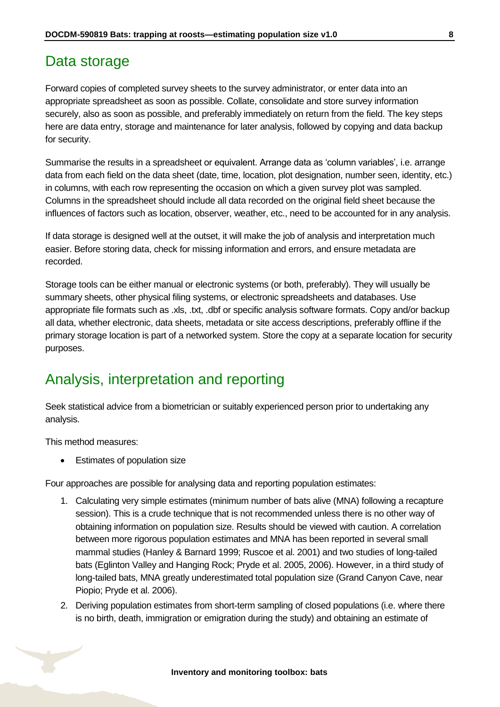### <span id="page-7-0"></span>Data storage

Forward copies of completed survey sheets to the survey administrator, or enter data into an appropriate spreadsheet as soon as possible. Collate, consolidate and store survey information securely, also as soon as possible, and preferably immediately on return from the field. The key steps here are data entry, storage and maintenance for later analysis, followed by copying and data backup for security.

Summarise the results in a spreadsheet or equivalent. Arrange data as 'column variables', i.e. arrange data from each field on the data sheet (date, time, location, plot designation, number seen, identity, etc.) in columns, with each row representing the occasion on which a given survey plot was sampled. Columns in the spreadsheet should include all data recorded on the original field sheet because the influences of factors such as location, observer, weather, etc., need to be accounted for in any analysis.

If data storage is designed well at the outset, it will make the job of analysis and interpretation much easier. Before storing data, check for missing information and errors, and ensure metadata are recorded.

Storage tools can be either manual or electronic systems (or both, preferably). They will usually be summary sheets, other physical filing systems, or electronic spreadsheets and databases. Use appropriate file formats such as .xls, .txt, .dbf or specific analysis software formats. Copy and/or backup all data, whether electronic, data sheets, metadata or site access descriptions, preferably offline if the primary storage location is part of a networked system. Store the copy at a separate location for security purposes.

### <span id="page-7-1"></span>Analysis, interpretation and reporting

Seek statistical advice from a biometrician or suitably experienced person prior to undertaking any analysis.

This method measures:

• Estimates of population size

Four approaches are possible for analysing data and reporting population estimates:

- 1. Calculating very simple estimates (minimum number of bats alive (MNA) following a recapture session). This is a crude technique that is not recommended unless there is no other way of obtaining information on population size. Results should be viewed with caution. A correlation between more rigorous population estimates and MNA has been reported in several small mammal studies (Hanley & Barnard 1999; Ruscoe et al. 2001) and two studies of long-tailed bats (Eglinton Valley and Hanging Rock; Pryde et al. 2005, 2006). However, in a third study of long-tailed bats, MNA greatly underestimated total population size (Grand Canyon Cave, near Piopio; Pryde et al. 2006).
- 2. Deriving population estimates from short-term sampling of closed populations (i.e. where there is no birth, death, immigration or emigration during the study) and obtaining an estimate of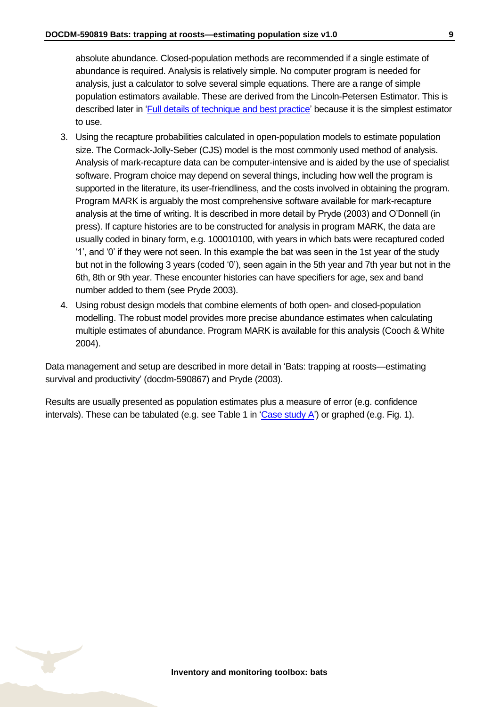absolute abundance. Closed-population methods are recommended if a single estimate of abundance is required. Analysis is relatively simple. No computer program is needed for analysis, just a calculator to solve several simple equations. There are a range of simple population estimators available. These are derived from the Lincoln-Petersen Estimator. This is described later in ['Full details of technique and best practice'](#page-12-0) because it is the simplest estimator to use.

- 3. Using the recapture probabilities calculated in open-population models to estimate population size. The Cormack-Jolly-Seber (CJS) model is the most commonly used method of analysis. Analysis of mark-recapture data can be computer-intensive and is aided by the use of specialist software. Program choice may depend on several things, including how well the program is supported in the literature, its user-friendliness, and the costs involved in obtaining the program. Program MARK is arguably the most comprehensive software available for mark-recapture analysis at the time of writing. It is described in more detail by Pryde (2003) and O'Donnell (in press). If capture histories are to be constructed for analysis in program MARK, the data are usually coded in binary form, e.g. 100010100, with years in which bats were recaptured coded '1', and '0' if they were not seen. In this example the bat was seen in the 1st year of the study but not in the following 3 years (coded '0'), seen again in the 5th year and 7th year but not in the 6th, 8th or 9th year. These encounter histories can have specifiers for age, sex and band number added to them (see Pryde 2003).
- 4. Using robust design models that combine elements of both open- and closed-population modelling. The robust model provides more precise abundance estimates when calculating multiple estimates of abundance. Program MARK is available for this analysis (Cooch & White 2004).

Data management and setup are described in more detail in 'Bats: trapping at roosts—estimating survival and productivity' (docdm-590867) and Pryde (2003).

Results are usually presented as population estimates plus a measure of error (e.g. confidence intervals). These can be tabulated (e.g. see Table 1 in ['Case study A'](#page-10-0)) or graphed (e.g. Fig. 1).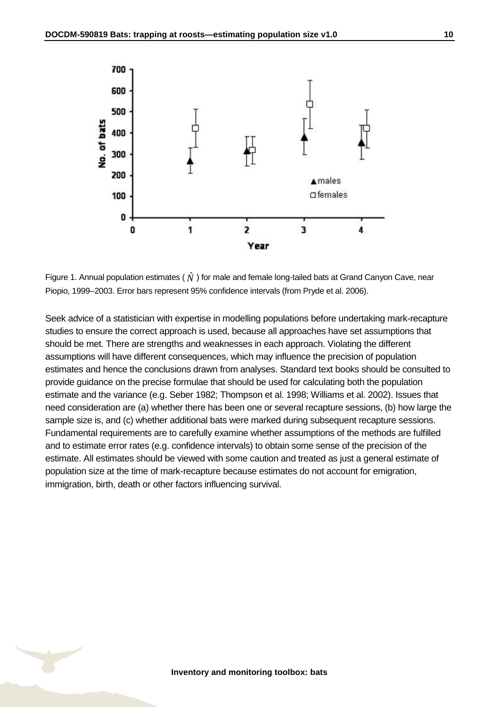

Figure 1. Annual population estimates (  $\hat{N}$  ) for male and female long-tailed bats at Grand Canyon Cave, near Piopio, 1999–2003. Error bars represent 95% confidence intervals (from Pryde et al. 2006).

Seek advice of a statistician with expertise in modelling populations before undertaking mark-recapture studies to ensure the correct approach is used, because all approaches have set assumptions that should be met. There are strengths and weaknesses in each approach. Violating the different assumptions will have different consequences, which may influence the precision of population estimates and hence the conclusions drawn from analyses. Standard text books should be consulted to provide guidance on the precise formulae that should be used for calculating both the population estimate and the variance (e.g. Seber 1982; Thompson et al. 1998; Williams et al. 2002). Issues that need consideration are (a) whether there has been one or several recapture sessions, (b) how large the sample size is, and (c) whether additional bats were marked during subsequent recapture sessions. Fundamental requirements are to carefully examine whether assumptions of the methods are fulfilled and to estimate error rates (e.g. confidence intervals) to obtain some sense of the precision of the estimate. All estimates should be viewed with some caution and treated as just a general estimate of population size at the time of mark-recapture because estimates do not account for emigration, immigration, birth, death or other factors influencing survival.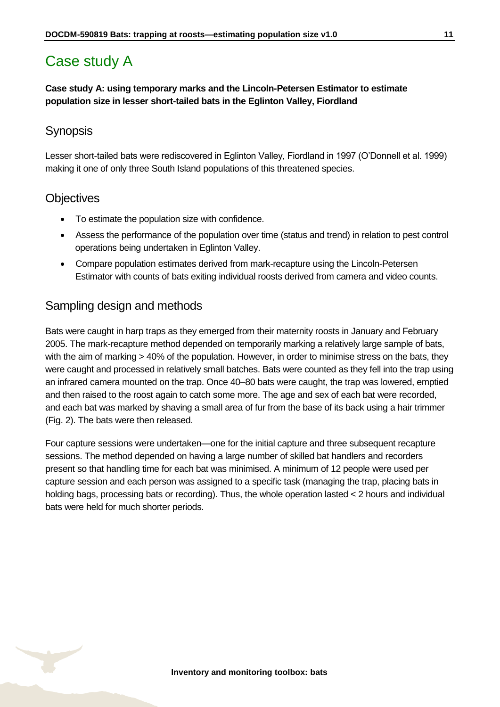### <span id="page-10-0"></span>Case study A

#### **Case study A: using temporary marks and the Lincoln-Petersen Estimator to estimate population size in lesser short-tailed bats in the Eglinton Valley, Fiordland**

#### **Synopsis**

Lesser short-tailed bats were rediscovered in Eglinton Valley, Fiordland in 1997 (O'Donnell et al. 1999) making it one of only three South Island populations of this threatened species.

#### **Objectives**

- To estimate the population size with confidence.
- Assess the performance of the population over time (status and trend) in relation to pest control operations being undertaken in Eglinton Valley.
- Compare population estimates derived from mark-recapture using the Lincoln-Petersen Estimator with counts of bats exiting individual roosts derived from camera and video counts.

#### Sampling design and methods

Bats were caught in harp traps as they emerged from their maternity roosts in January and February 2005. The mark-recapture method depended on temporarily marking a relatively large sample of bats, with the aim of marking > 40% of the population. However, in order to minimise stress on the bats, they were caught and processed in relatively small batches. Bats were counted as they fell into the trap using an infrared camera mounted on the trap. Once 40–80 bats were caught, the trap was lowered, emptied and then raised to the roost again to catch some more. The age and sex of each bat were recorded, and each bat was marked by shaving a small area of fur from the base of its back using a hair trimmer (Fig. 2). The bats were then released.

Four capture sessions were undertaken—one for the initial capture and three subsequent recapture sessions. The method depended on having a large number of skilled bat handlers and recorders present so that handling time for each bat was minimised. A minimum of 12 people were used per capture session and each person was assigned to a specific task (managing the trap, placing bats in holding bags, processing bats or recording). Thus, the whole operation lasted < 2 hours and individual bats were held for much shorter periods.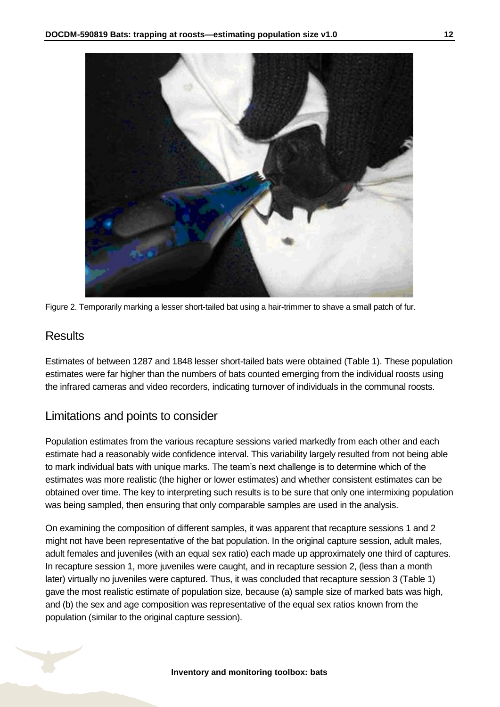

Figure 2. Temporarily marking a lesser short-tailed bat using a hair-trimmer to shave a small patch of fur.

#### **Results**

Estimates of between 1287 and 1848 lesser short-tailed bats were obtained (Table 1). These population estimates were far higher than the numbers of bats counted emerging from the individual roosts using the infrared cameras and video recorders, indicating turnover of individuals in the communal roosts.

#### Limitations and points to consider

Population estimates from the various recapture sessions varied markedly from each other and each estimate had a reasonably wide confidence interval. This variability largely resulted from not being able to mark individual bats with unique marks. The team's next challenge is to determine which of the estimates was more realistic (the higher or lower estimates) and whether consistent estimates can be obtained over time. The key to interpreting such results is to be sure that only one intermixing population was being sampled, then ensuring that only comparable samples are used in the analysis.

On examining the composition of different samples, it was apparent that recapture sessions 1 and 2 might not have been representative of the bat population. In the original capture session, adult males, adult females and juveniles (with an equal sex ratio) each made up approximately one third of captures. In recapture session 1, more juveniles were caught, and in recapture session 2, (less than a month later) virtually no juveniles were captured. Thus, it was concluded that recapture session 3 (Table 1) gave the most realistic estimate of population size, because (a) sample size of marked bats was high, and (b) the sex and age composition was representative of the equal sex ratios known from the population (similar to the original capture session).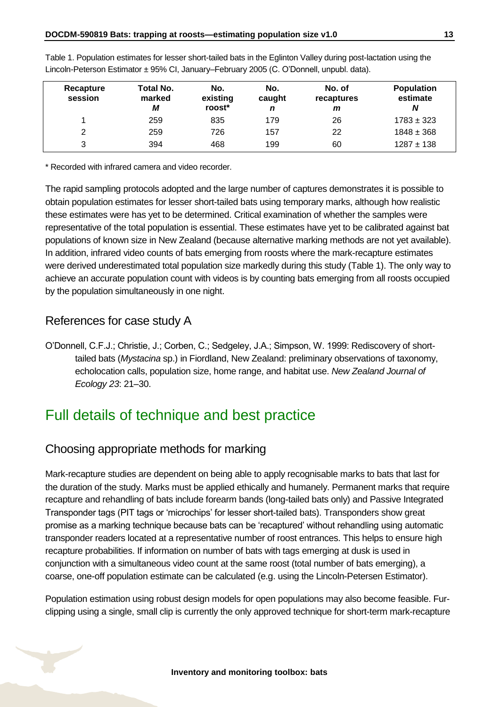| Recapture<br>session | Total No.<br>marked<br>М | No.<br>existing<br>roost* | No.<br>caught<br>n | No. of<br>recaptures<br>m | <b>Population</b><br>estimate<br>N |
|----------------------|--------------------------|---------------------------|--------------------|---------------------------|------------------------------------|
|                      | 259                      | 835                       | 179                | 26                        | $1783 \pm 323$                     |
| 2                    | 259                      | 726                       | 157                | 22                        | $1848 \pm 368$                     |
| 3                    | 394                      | 468                       | 199                | 60                        | $1287 \pm 138$                     |

Table 1. Population estimates for lesser short-tailed bats in the Eglinton Valley during post-lactation using the Lincoln-Peterson Estimator ± 95% CI, January–February 2005 (C. O'Donnell, unpubl. data).

\* Recorded with infrared camera and video recorder.

The rapid sampling protocols adopted and the large number of captures demonstrates it is possible to obtain population estimates for lesser short-tailed bats using temporary marks, although how realistic these estimates were has yet to be determined. Critical examination of whether the samples were representative of the total population is essential. These estimates have yet to be calibrated against bat populations of known size in New Zealand (because alternative marking methods are not yet available). In addition, infrared video counts of bats emerging from roosts where the mark-recapture estimates were derived underestimated total population size markedly during this study (Table 1). The only way to achieve an accurate population count with videos is by counting bats emerging from all roosts occupied by the population simultaneously in one night.

#### References for case study A

O'Donnell, C.F.J.; Christie, J.; Corben, C.; Sedgeley, J.A.; Simpson, W. 1999: Rediscovery of shorttailed bats (*Mystacina* sp.) in Fiordland, New Zealand: preliminary observations of taxonomy, echolocation calls, population size, home range, and habitat use. *New Zealand Journal of Ecology 23*: 21–30.

### <span id="page-12-0"></span>Full details of technique and best practice

#### Choosing appropriate methods for marking

Mark-recapture studies are dependent on being able to apply recognisable marks to bats that last for the duration of the study. Marks must be applied ethically and humanely. Permanent marks that require recapture and rehandling of bats include forearm bands (long-tailed bats only) and Passive Integrated Transponder tags (PIT tags or 'microchips' for lesser short-tailed bats). Transponders show great promise as a marking technique because bats can be 'recaptured' without rehandling using automatic transponder readers located at a representative number of roost entrances. This helps to ensure high recapture probabilities. If information on number of bats with tags emerging at dusk is used in conjunction with a simultaneous video count at the same roost (total number of bats emerging), a coarse, one-off population estimate can be calculated (e.g. using the Lincoln-Petersen Estimator).

Population estimation using robust design models for open populations may also become feasible. Furclipping using a single, small clip is currently the only approved technique for short-term mark-recapture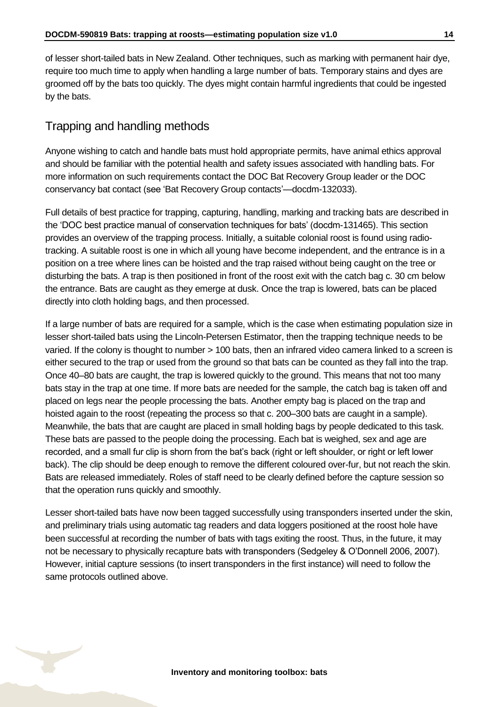of lesser short-tailed bats in New Zealand. Other techniques, such as marking with permanent hair dye, require too much time to apply when handling a large number of bats. Temporary stains and dyes are groomed off by the bats too quickly. The dyes might contain harmful ingredients that could be ingested by the bats.

### Trapping and handling methods

Anyone wishing to catch and handle bats must hold appropriate permits, have animal ethics approval and should be familiar with the potential health and safety issues associated with handling bats. For more information on such requirements contact the DOC Bat Recovery Group leader or the DOC conservancy bat contact (see 'Bat Recovery Group contacts'—docdm-132033).

Full details of best practice for trapping, capturing, handling, marking and tracking bats are described in the 'DOC best practice manual of conservation techniques for bats' (docdm-131465). This section provides an overview of the trapping process. Initially, a suitable colonial roost is found using radiotracking. A suitable roost is one in which all young have become independent, and the entrance is in a position on a tree where lines can be hoisted and the trap raised without being caught on the tree or disturbing the bats. A trap is then positioned in front of the roost exit with the catch bag c. 30 cm below the entrance. Bats are caught as they emerge at dusk. Once the trap is lowered, bats can be placed directly into cloth holding bags, and then processed.

If a large number of bats are required for a sample, which is the case when estimating population size in lesser short-tailed bats using the Lincoln-Petersen Estimator, then the trapping technique needs to be varied. If the colony is thought to number > 100 bats, then an infrared video camera linked to a screen is either secured to the trap or used from the ground so that bats can be counted as they fall into the trap. Once 40–80 bats are caught, the trap is lowered quickly to the ground. This means that not too many bats stay in the trap at one time. If more bats are needed for the sample, the catch bag is taken off and placed on legs near the people processing the bats. Another empty bag is placed on the trap and hoisted again to the roost (repeating the process so that c. 200–300 bats are caught in a sample). Meanwhile, the bats that are caught are placed in small holding bags by people dedicated to this task. These bats are passed to the people doing the processing. Each bat is weighed, sex and age are recorded, and a small fur clip is shorn from the bat's back (right or left shoulder, or right or left lower back). The clip should be deep enough to remove the different coloured over-fur, but not reach the skin. Bats are released immediately. Roles of staff need to be clearly defined before the capture session so that the operation runs quickly and smoothly.

Lesser short-tailed bats have now been tagged successfully using transponders inserted under the skin, and preliminary trials using automatic tag readers and data loggers positioned at the roost hole have been successful at recording the number of bats with tags exiting the roost. Thus, in the future, it may not be necessary to physically recapture bats with transponders (Sedgeley & O'Donnell 2006, 2007). However, initial capture sessions (to insert transponders in the first instance) will need to follow the same protocols outlined above.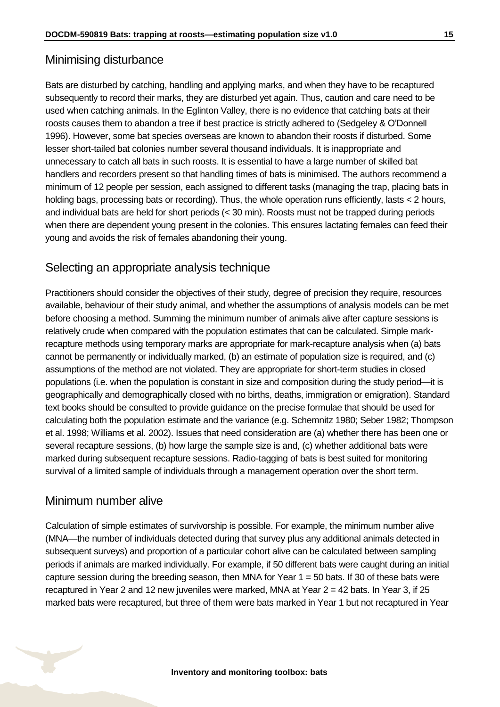#### Minimising disturbance

Bats are disturbed by catching, handling and applying marks, and when they have to be recaptured subsequently to record their marks, they are disturbed yet again. Thus, caution and care need to be used when catching animals. In the Eglinton Valley, there is no evidence that catching bats at their roosts causes them to abandon a tree if best practice is strictly adhered to (Sedgeley & O'Donnell 1996). However, some bat species overseas are known to abandon their roosts if disturbed. Some lesser short-tailed bat colonies number several thousand individuals. It is inappropriate and unnecessary to catch all bats in such roosts. It is essential to have a large number of skilled bat handlers and recorders present so that handling times of bats is minimised. The authors recommend a minimum of 12 people per session, each assigned to different tasks (managing the trap, placing bats in holding bags, processing bats or recording). Thus, the whole operation runs efficiently, lasts < 2 hours, and individual bats are held for short periods (< 30 min). Roosts must not be trapped during periods when there are dependent young present in the colonies. This ensures lactating females can feed their young and avoids the risk of females abandoning their young.

#### Selecting an appropriate analysis technique

Practitioners should consider the objectives of their study, degree of precision they require, resources available, behaviour of their study animal, and whether the assumptions of analysis models can be met before choosing a method. Summing the minimum number of animals alive after capture sessions is relatively crude when compared with the population estimates that can be calculated. Simple markrecapture methods using temporary marks are appropriate for mark-recapture analysis when (a) bats cannot be permanently or individually marked, (b) an estimate of population size is required, and (c) assumptions of the method are not violated. They are appropriate for short-term studies in closed populations (i.e. when the population is constant in size and composition during the study period—it is geographically and demographically closed with no births, deaths, immigration or emigration). Standard text books should be consulted to provide guidance on the precise formulae that should be used for calculating both the population estimate and the variance (e.g. Schemnitz 1980; Seber 1982; Thompson et al. 1998; Williams et al. 2002). Issues that need consideration are (a) whether there has been one or several recapture sessions, (b) how large the sample size is and, (c) whether additional bats were marked during subsequent recapture sessions. Radio-tagging of bats is best suited for monitoring survival of a limited sample of individuals through a management operation over the short term.

#### Minimum number alive

Calculation of simple estimates of survivorship is possible. For example, the minimum number alive (MNA—the number of individuals detected during that survey plus any additional animals detected in subsequent surveys) and proportion of a particular cohort alive can be calculated between sampling periods if animals are marked individually. For example, if 50 different bats were caught during an initial capture session during the breeding season, then MNA for Year  $1 = 50$  bats. If 30 of these bats were recaptured in Year 2 and 12 new juveniles were marked, MNA at Year  $2 = 42$  bats. In Year 3, if 25 marked bats were recaptured, but three of them were bats marked in Year 1 but not recaptured in Year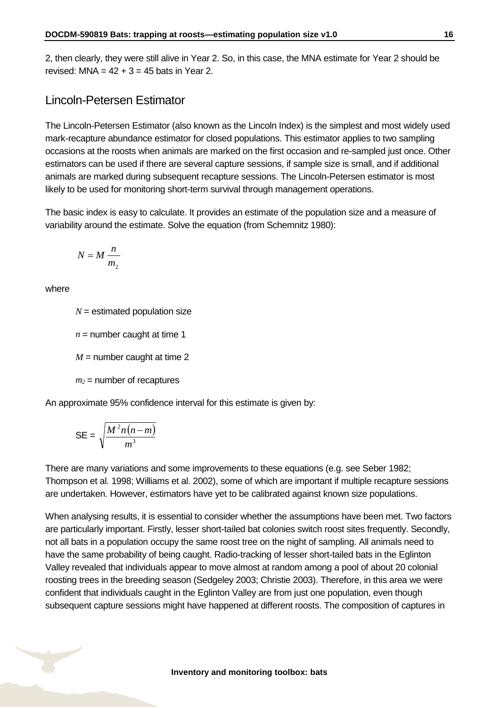2, then clearly, they were still alive in Year 2. So, in this case, the MNA estimate for Year 2 should be revised: MNA =  $42 + 3 = 45$  bats in Year 2.

#### Lincoln-Petersen Estimator

The Lincoln-Petersen Estimator (also known as the Lincoln Index) is the simplest and most widely used mark-recapture abundance estimator for closed populations. This estimator applies to two sampling occasions at the roosts when animals are marked on the first occasion and re-sampled just once. Other estimators can be used if there are several capture sessions, if sample size is small, and if additional animals are marked during subsequent recapture sessions. The Lincoln-Petersen estimator is most likely to be used for monitoring short-term survival through management operations.

The basic index is easy to calculate. It provides an estimate of the population size and a measure of variability around the estimate. Solve the equation (from Schemnitz 1980):

$$
N = M \frac{n}{m_2}
$$

where

 $N =$  estimated population size

 $n =$  number caught at time 1

 $M =$  number caught at time 2

 $m_2$  = number of recaptures

An approximate 95% confidence interval for this estimate is given by:

$$
\mathsf{SE} = \sqrt{\frac{M^2 n (n-m)}{m^3}}
$$

There are many variations and some improvements to these equations (e.g. see Seber 1982; Thompson et al. 1998; Williams et al. 2002), some of which are important if multiple recapture sessions are undertaken. However, estimators have yet to be calibrated against known size populations.

When analysing results, it is essential to consider whether the assumptions have been met. Two factors are particularly important. Firstly, lesser short-tailed bat colonies switch roost sites frequently. Secondly, not all bats in a population occupy the same roost tree on the night of sampling. All animals need to have the same probability of being caught. Radio-tracking of lesser short-tailed bats in the Eglinton Valley revealed that individuals appear to move almost at random among a pool of about 20 colonial roosting trees in the breeding season (Sedgeley 2003; Christie 2003). Therefore, in this area we were confident that individuals caught in the Eglinton Valley are from just one population, even though subsequent capture sessions might have happened at different roosts. The composition of captures in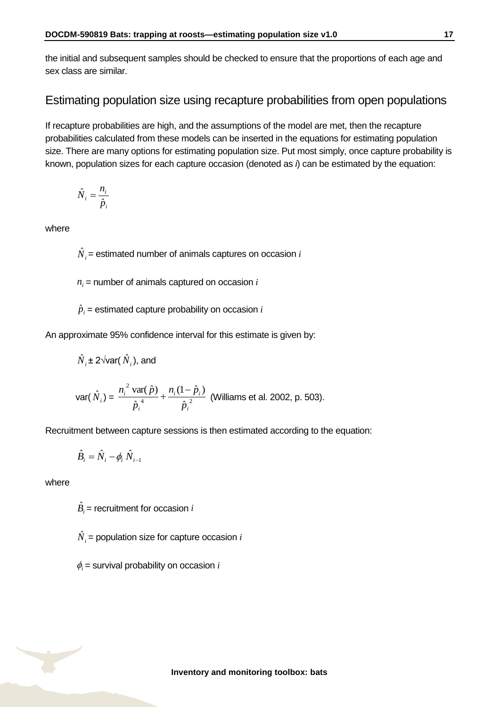the initial and subsequent samples should be checked to ensure that the proportions of each age and sex class are similar.

#### Estimating population size using recapture probabilities from open populations

If recapture probabilities are high, and the assumptions of the model are met, then the recapture probabilities calculated from these models can be inserted in the equations for estimating population size. There are many options for estimating population size. Put most simply, once capture probability is known, population sizes for each capture occasion (denoted as *i*) can be estimated by the equation:

$$
\hat{N}_i = \frac{n_i}{\hat{p}_i}
$$

where

 $\hat{N}_{i}$ = estimated number of animals captures on occasion  $i$ 

 $n_i$  = number of animals captured on occasion  $i$ 

 $\hat{p}_{i}$  = estimated capture probability on occasion  $i$ 

An approximate 95% confidence interval for this estimate is given by:

$$
\hat{N}_i \pm 2\sqrt{\text{var}(\hat{N}_i)}
$$
, and

var(
$$
\hat{N}_i
$$
) =  $\frac{n_i^2 \text{ var}(\hat{p})}{\hat{p}_i^4} + \frac{n_i(1-\hat{p}_i)}{\hat{p}_i^2}$  (Williams et al. 2002, p. 503).

Recruitment between capture sessions is then estimated according to the equation:

$$
\hat{B}_i = \hat{N}_i - \phi_i \hat{N}_{i-1}
$$

where

 $\hat{B}_i$  = recruitment for occasion *i* 

 $\hat{N}_{i}$  = population size for capture occasion  $i$ 

 $\phi_i$  = survival probability on occasion *i*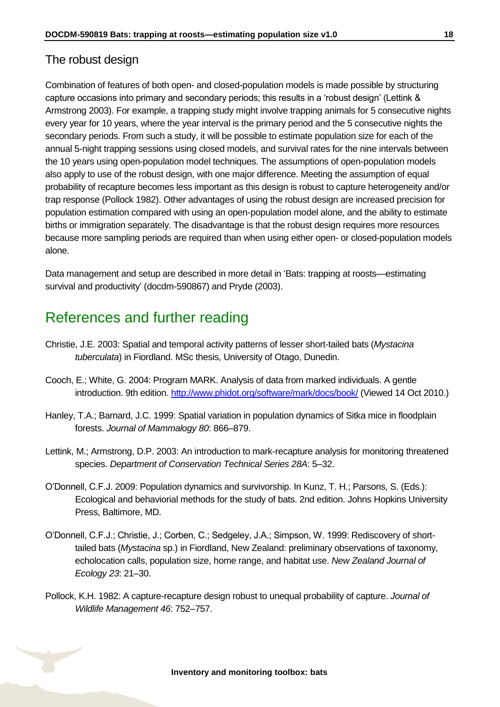#### The robust design

Combination of features of both open- and closed-population models is made possible by structuring capture occasions into primary and secondary periods; this results in a 'robust design' (Lettink & Armstrong 2003). For example, a trapping study might involve trapping animals for 5 consecutive nights every year for 10 years, where the year interval is the primary period and the 5 consecutive nights the secondary periods. From such a study, it will be possible to estimate population size for each of the annual 5-night trapping sessions using closed models, and survival rates for the nine intervals between the 10 years using open-population model techniques. The assumptions of open-population models also apply to use of the robust design, with one major difference. Meeting the assumption of equal probability of recapture becomes less important as this design is robust to capture heterogeneity and/or trap response (Pollock 1982). Other advantages of using the robust design are increased precision for population estimation compared with using an open-population model alone, and the ability to estimate births or immigration separately. The disadvantage is that the robust design requires more resources because more sampling periods are required than when using either open- or closed-population models alone.

Data management and setup are described in more detail in 'Bats: trapping at roosts—estimating survival and productivity' (docdm-590867) and Pryde (2003).

### <span id="page-17-0"></span>References and further reading

- Christie, J.E. 2003: Spatial and temporal activity patterns of lesser short-tailed bats (*Mystacina tuberculata*) in Fiordland. MSc thesis, University of Otago, Dunedin.
- Cooch, E.; White, G. 2004: Program MARK. Analysis of data from marked individuals. A gentle introduction. 9th edition.<http://www.phidot.org/software/mark/docs/book/> (Viewed 14 Oct 2010.)
- Hanley, T.A.; Barnard, J.C. 1999: Spatial variation in population dynamics of Sitka mice in floodplain forests. *Journal of Mammalogy 80*: 866–879.
- Lettink, M.; Armstrong, D.P. 2003: An introduction to mark-recapture analysis for monitoring threatened species. *Department of Conservation Technical Series 28A*: 5–32.
- O'Donnell, C.F.J. 2009: Population dynamics and survivorship. In Kunz, T. H.; Parsons, S. (Eds.): Ecological and behaviorial methods for the study of bats. 2nd edition. Johns Hopkins University Press, Baltimore, MD.
- O'Donnell, C.F.J.; Christie, J.; Corben, C.; Sedgeley, J.A.; Simpson, W. 1999: Rediscovery of shorttailed bats (*Mystacina* sp.) in Fiordland, New Zealand: preliminary observations of taxonomy, echolocation calls, population size, home range, and habitat use. *New Zealand Journal of Ecology 23*: 21–30.
- Pollock, K.H. 1982: A capture-recapture design robust to unequal probability of capture. *Journal of Wildlife Management 46*: 752–757.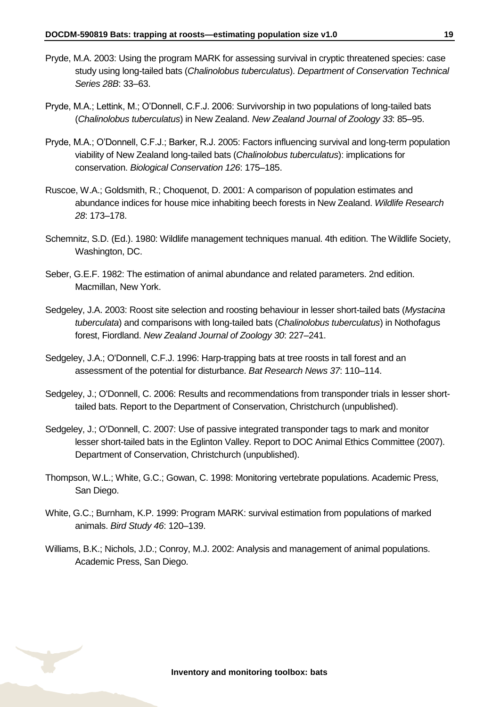- Pryde, M.A. 2003: Using the program MARK for assessing survival in cryptic threatened species: case study using long-tailed bats (*Chalinolobus tuberculatus*). *Department of Conservation Technical Series 28B*: 33–63.
- Pryde, M.A.; Lettink, M.; O'Donnell, C.F.J. 2006: Survivorship in two populations of long-tailed bats (*Chalinolobus tuberculatus*) in New Zealand. *New Zealand Journal of Zoology 33*: 85–95.
- Pryde, M.A.; O'Donnell, C.F.J.; Barker, R.J. 2005: Factors influencing survival and long-term population viability of New Zealand long-tailed bats (*Chalinolobus tuberculatus*): implications for conservation. *Biological Conservation 126*: 175–185.
- Ruscoe, W.A.; Goldsmith, R.; Choquenot, D. 2001: A comparison of population estimates and abundance indices for house mice inhabiting beech forests in New Zealand. *Wildlife Research 28*: 173–178.
- Schemnitz, S.D. (Ed.). 1980: Wildlife management techniques manual. 4th edition. The Wildlife Society, Washington, DC.
- Seber, G.E.F. 1982: The estimation of animal abundance and related parameters. 2nd edition. Macmillan, New York.
- Sedgeley, J.A. 2003: Roost site selection and roosting behaviour in lesser short-tailed bats (*Mystacina tuberculata*) and comparisons with long-tailed bats (*Chalinolobus tuberculatus*) in Nothofagus forest, Fiordland. *New Zealand Journal of Zoology 30*: 227–241.
- Sedgeley, J.A.; O'Donnell, C.F.J. 1996: Harp-trapping bats at tree roosts in tall forest and an assessment of the potential for disturbance. *Bat Research News 37*: 110–114.
- Sedgeley, J.; O'Donnell, C. 2006: Results and recommendations from transponder trials in lesser shorttailed bats. Report to the Department of Conservation, Christchurch (unpublished).
- Sedgeley, J.; O'Donnell, C. 2007: Use of passive integrated transponder tags to mark and monitor lesser short-tailed bats in the Eglinton Valley. Report to DOC Animal Ethics Committee (2007). Department of Conservation, Christchurch (unpublished).
- Thompson, W.L.; White, G.C.; Gowan, C. 1998: Monitoring vertebrate populations. Academic Press, San Diego.
- White, G.C.; Burnham, K.P. 1999: Program MARK: survival estimation from populations of marked animals. *Bird Study 46*: 120–139.
- Williams, B.K.; Nichols, J.D.; Conroy, M.J. 2002: Analysis and management of animal populations. Academic Press, San Diego.